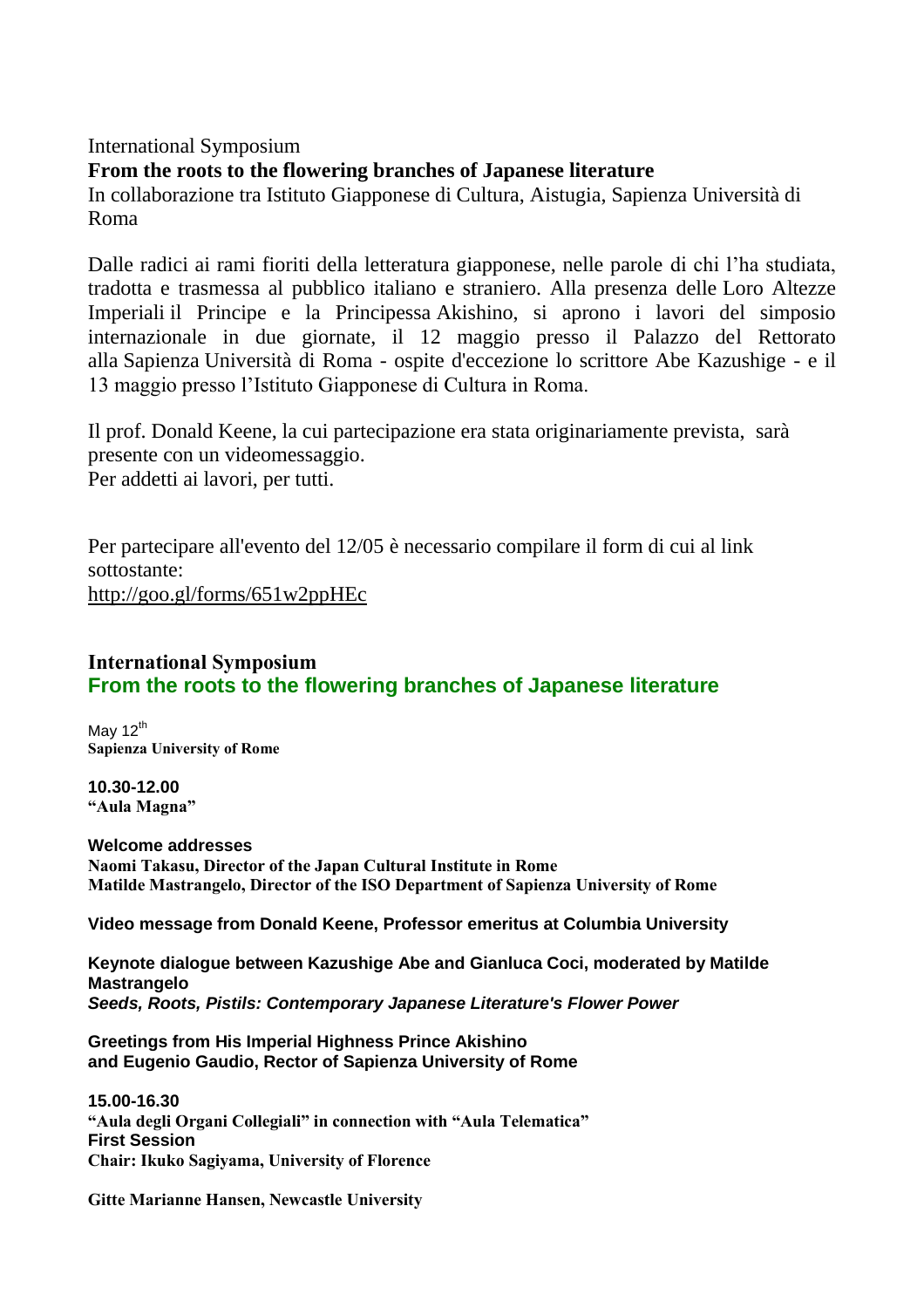## International Symposium

**From the roots to the flowering branches of Japanese literature**

In collaborazione tra Istituto Giapponese di Cultura, Aistugia, Sapienza Università di Roma

Dalle radici ai rami fioriti della letteratura giapponese, nelle parole di chi l'ha studiata, tradotta e trasmessa al pubblico italiano e straniero. Alla presenza delle Loro Altezze Imperiali il Principe e la Principessa Akishino, si aprono i lavori del simposio internazionale in due giornate, il 12 maggio presso il Palazzo del Rettorato alla Sapienza Università di Roma - ospite d'eccezione lo scrittore Abe Kazushige - e il 13 maggio presso l'Istituto Giapponese di Cultura in Roma.

Il prof. Donald Keene, la cui partecipazione era stata originariamente prevista, sarà presente con un videomessaggio. Per addetti ai lavori, per tutti.

Per partecipare all'evento del 12/05 è necessario compilare il form di cui al link sottostante: [http://goo.gl/forms/651w2ppHEc](http://jfroma.us12.list-manage.com/track/click?u=cff2c74d7547b16e1e87e713d&id=af3e214f07&e=9024264992)

## **International Symposium From the roots to the flowering branches of Japanese literature**

May  $12^{th}$ **Sapienza University of Rome**

**10.30-12.00 "Aula Magna"**

**Welcome addresses Naomi Takasu, Director of the Japan Cultural Institute in Rome Matilde Mastrangelo, Director of the ISO Department of Sapienza University of Rome**

**Video message from Donald Keene, Professor emeritus at Columbia University**

**Keynote dialogue between Kazushige Abe and Gianluca Coci, moderated by Matilde Mastrangelo** *Seeds, Roots, Pistils: Contemporary Japanese Literature's Flower Power*

**Greetings from His Imperial Highness Prince Akishino and Eugenio Gaudio, Rector of Sapienza University of Rome**

**15.00-16.30 "Aula degli Organi Collegiali" in connection with "Aula Telematica" First Session Chair: Ikuko Sagiyama, University of Florence**

**Gitte Marianne Hansen, Newcastle University**